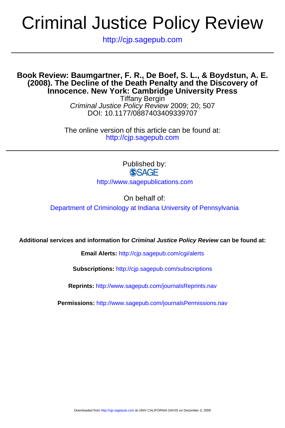## Criminal Justice Policy Review

http://cjp.sagepub.com

**Innocence. New York: Cambridge University Press (2008). The Decline of the Death Penalty and the Discovery of Book Review: Baumgartner, F. R., De Boef, S. L., & Boydstun, A. E.**

DOI: 10.1177/0887403409339707 Criminal Justice Policy Review 2009; 20; 507 Tiffany Bergin

http://cjp.sagepub.com The online version of this article can be found at:

> Published by: **SSAGE**

http://www.sagepublications.com

On behalf of:

[Department of Criminology at Indiana University of Pennsylvania](http://www.hhs.iup.edu/cr/CJPR/index.htm)

**Additional services and information for Criminal Justice Policy Review can be found at:**

**Email Alerts:** <http://cjp.sagepub.com/cgi/alerts>

**Subscriptions:** <http://cjp.sagepub.com/subscriptions>

**Reprints:** <http://www.sagepub.com/journalsReprints.nav>

**Permissions:** <http://www.sagepub.com/journalsPermissions.nav>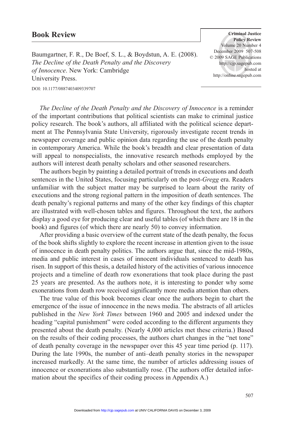## **Book Review**

Baumgartner, F. R., De Boef, S. L., & Boydstun, A. E. (2008). *The Decline of the Death Penalty and the Discovery of Innocence*. New York: Cambridge University Press.

**Criminal Justice Policy Review** Volume 20 Number 4 December 2009 507-508 © 2009 SAGE Publications http://cjp.sagepub.com hosted at http://online.sagepub.com

DOI: 10.1177/0887403409339707

*The Decline of the Death Penalty and the Discovery of Innocence* is a reminder of the important contributions that political scientists can make to criminal justice policy research. The book's authors, all affiliated with the political science department at The Pennsylvania State University, rigorously investigate recent trends in newspaper coverage and public opinion data regarding the use of the death penalty in contemporary America. While the book's breadth and clear presentation of data will appeal to nonspecialists, the innovative research methods employed by the authors will interest death penalty scholars and other seasoned researchers.

The authors begin by painting a detailed portrait of trends in executions and death sentences in the United States, focusing particularly on the post-*Gregg* era. Readers unfamiliar with the subject matter may be surprised to learn about the rarity of executions and the strong regional pattern in the imposition of death sentences. The death penalty's regional patterns and many of the other key findings of this chapter are illustrated with well-chosen tables and figures. Throughout the text, the authors display a good eye for producing clear and useful tables (of which there are 18 in the book) and figures (of which there are nearly 50) to convey information.

After providing a basic overview of the current state of the death penalty, the focus of the book shifts slightly to explore the recent increase in attention given to the issue of innocence in death penalty politics. The authors argue that, since the mid-1980s, media and public interest in cases of innocent individuals sentenced to death has risen. In support of this thesis, a detailed history of the activities of various innocence projects and a timeline of death row exonerations that took place during the past 25 years are presented. As the authors note, it is interesting to ponder why some exonerations from death row received significantly more media attention than others.

The true value of this book becomes clear once the authors begin to chart the emergence of the issue of innocence in the news media. The abstracts of all articles published in the *New York Times* between 1960 and 2005 and indexed under the heading "capital punishment" were coded according to the different arguments they presented about the death penalty. (Nearly 4,000 articles met these criteria.) Based on the results of their coding processes, the authors chart changes in the "net tone" of death penalty coverage in the newspaper over this 45 year time period (p. 117). During the late 1990s, the number of anti–death penalty stories in the newspaper increased markedly. At the same time, the number of articles addressing issues of innocence or exonerations also substantially rose. (The authors offer detailed information about the specifics of their coding process in Appendix A.)